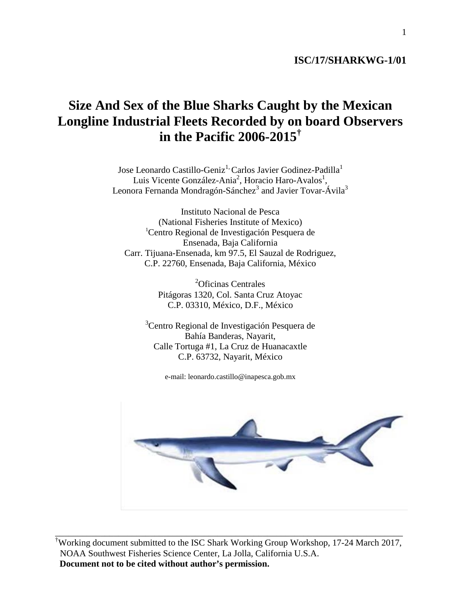## **ISC/17/SHARKWG-1/01**

# **Size And Sex of the Blue Sharks Caught by the Mexican Longline Industrial Fleets Recorded by on board Observers in the Pacific 2006-2015†**

Jose Leonardo Castillo-Geniz<sup>1,</sup> Carlos Javier Godinez-Padilla<sup>1</sup> Luis Vicente González-Ania<sup>2</sup>, Horacio Haro-Avalos<sup>1</sup>, Leonora Fernanda Mondragón-Sánchez<sup>3</sup> and Javier Tovar-Ávila<sup>3</sup>

Instituto Nacional de Pesca (National Fisheries Institute of Mexico) 1 Centro Regional de Investigación Pesquera de Ensenada, Baja California Carr. Tijuana-Ensenada, km 97.5, El Sauzal de Rodriguez, C.P. 22760, Ensenada, Baja California, México

> 2 Oficinas Centrales Pitágoras 1320, Col. Santa Cruz Atoyac C.P. 03310, México, D.F., México

<sup>3</sup>Centro Regional de Investigación Pesquera de Bahía Banderas, Nayarit, Calle Tortuga #1, La Cruz de Huanacaxtle C.P. 63732, Nayarit, México

e-mail: leonardo.castillo@inapesca.gob.mx



† Working document submitted to the ISC Shark Working Group Workshop, 17-24 March 2017, NOAA Southwest Fisheries Science Center, La Jolla, California U.S.A. **Document not to be cited without author's permission.**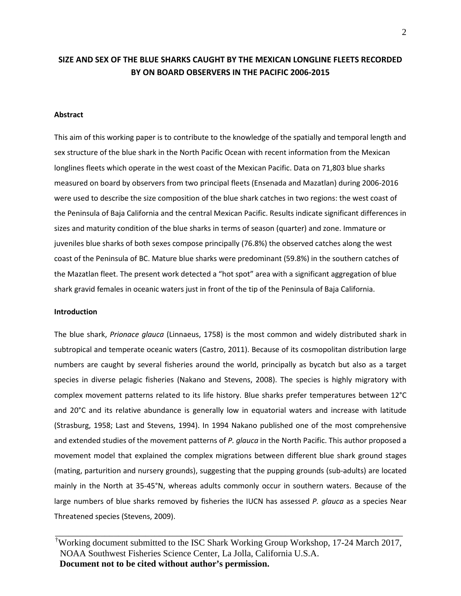## **SIZE AND SEX OF THE BLUE SHARKS CAUGHT BY THE MEXICAN LONGLINE FLEETS RECORDED BY ON BOARD OBSERVERS IN THE PACIFIC 2006-2015**

#### **Abstract**

This aim of this working paper is to contribute to the knowledge of the spatially and temporal length and sex structure of the blue shark in the North Pacific Ocean with recent information from the Mexican longlines fleets which operate in the west coast of the Mexican Pacific. Data on 71,803 blue sharks measured on board by observers from two principal fleets (Ensenada and Mazatlan) during 2006-2016 were used to describe the size composition of the blue shark catches in two regions: the west coast of the Peninsula of Baja California and the central Mexican Pacific. Results indicate significant differences in sizes and maturity condition of the blue sharks in terms of season (quarter) and zone. Immature or juveniles blue sharks of both sexes compose principally (76.8%) the observed catches along the west coast of the Peninsula of BC. Mature blue sharks were predominant (59.8%) in the southern catches of the Mazatlan fleet. The present work detected a "hot spot" area with a significant aggregation of blue shark gravid females in oceanic waters just in front of the tip of the Peninsula of Baja California.

#### **Introduction**

The blue shark, *Prionace glauca* (Linnaeus, 1758) is the most common and widely distributed shark in subtropical and temperate oceanic waters (Castro, 2011). Because of its cosmopolitan distribution large numbers are caught by several fisheries around the world, principally as bycatch but also as a target species in diverse pelagic fisheries (Nakano and Stevens, 2008). The species is highly migratory with complex movement patterns related to its life history. Blue sharks prefer temperatures between 12°C and 20°C and its relative abundance is generally low in equatorial waters and increase with latitude (Strasburg, 1958; Last and Stevens, 1994). In 1994 Nakano published one of the most comprehensive and extended studies of the movement patterns of *P. glauca* in the North Pacific. This author proposed a movement model that explained the complex migrations between different blue shark ground stages (mating, parturition and nursery grounds), suggesting that the pupping grounds (sub-adults) are located mainly in the North at 35-45°N, whereas adults commonly occur in southern waters. Because of the large numbers of blue sharks removed by fisheries the IUCN has assessed *P. glauca* as a species Near Threatened species (Stevens, 2009).

† Working document submitted to the ISC Shark Working Group Workshop, 17-24 March 2017, NOAA Southwest Fisheries Science Center, La Jolla, California U.S.A. **Document not to be cited without author's permission.**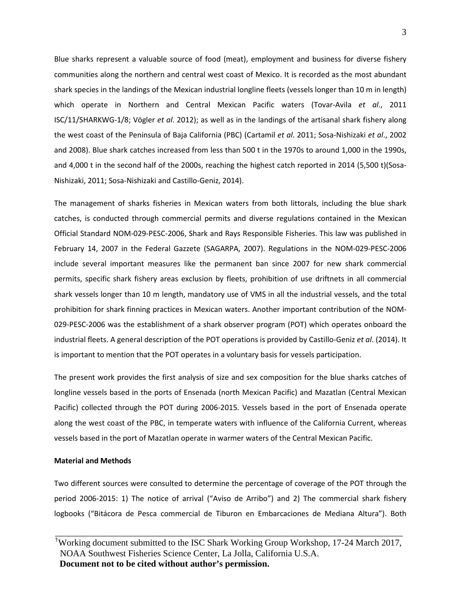Blue sharks represent a valuable source of food (meat), employment and business for diverse fishery communities along the northern and central west coast of Mexico. It is recorded as the most abundant shark species in the landings of the Mexican industrial longline fleets (vessels longer than 10 m in length) which operate in Northern and Central Mexican Pacific waters (Tovar-Avila *et al*., 2011 ISC/11/SHARKWG-1/8; Vögler *et al*. 2012); as well as in the landings of the artisanal shark fishery along the west coast of the Peninsula of Baja California (PBC) (Cartamil *et al*. 2011; Sosa-Nishizaki *et al*., 2002 and 2008). Blue shark catches increased from less than 500 t in the 1970s to around 1,000 in the 1990s, and 4,000 t in the second half of the 2000s, reaching the highest catch reported in 2014 (5,500 t)(Sosa-Nishizaki, 2011; Sosa-Nishizaki and Castillo-Geniz, 2014).

The management of sharks fisheries in Mexican waters from both littorals, including the blue shark catches, is conducted through commercial permits and diverse regulations contained in the Mexican Official Standard NOM-029-PESC-2006, Shark and Rays Responsible Fisheries. This law was published in February 14, 2007 in the Federal Gazzete (SAGARPA, 2007). Regulations in the NOM-029-PESC-2006 include several important measures like the permanent ban since 2007 for new shark commercial permits, specific shark fishery areas exclusion by fleets, prohibition of use driftnets in all commercial shark vessels longer than 10 m length, mandatory use of VMS in all the industrial vessels, and the total prohibition for shark finning practices in Mexican waters. Another important contribution of the NOM-029-PESC-2006 was the establishment of a shark observer program (POT) which operates onboard the industrial fleets. A general description of the POT operations is provided by Castillo-Geniz *et al*. (2014). It is important to mention that the POT operates in a voluntary basis for vessels participation.

The present work provides the first analysis of size and sex composition for the blue sharks catches of longline vessels based in the ports of Ensenada (north Mexican Pacific) and Mazatlan (Central Mexican Pacific) collected through the POT during 2006-2015. Vessels based in the port of Ensenada operate along the west coast of the PBC, in temperate waters with influence of the California Current, whereas vessels based in the port of Mazatlan operate in warmer waters of the Central Mexican Pacific.

### **Material and Methods**

Two different sources were consulted to determine the percentage of coverage of the POT through the period 2006-2015: 1) The notice of arrival ("Aviso de Arribo") and 2) The commercial shark fishery logbooks ("Bitácora de Pesca commercial de Tiburon en Embarcaciones de Mediana Altura"). Both

<sup>†</sup> Working document submitted to the ISC Shark Working Group Workshop, 17-24 March 2017, NOAA Southwest Fisheries Science Center, La Jolla, California U.S.A. **Document not to be cited without author's permission.**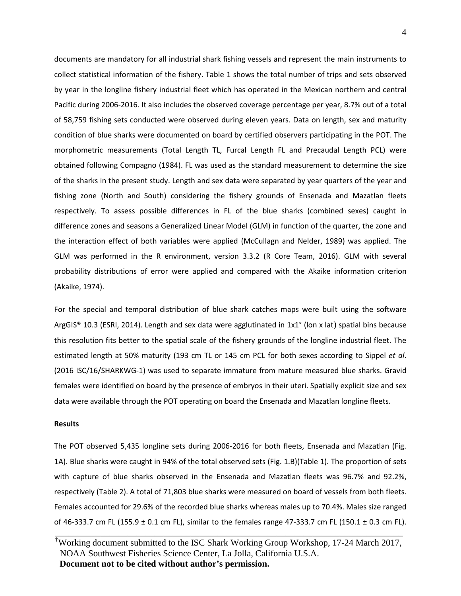documents are mandatory for all industrial shark fishing vessels and represent the main instruments to collect statistical information of the fishery. Table 1 shows the total number of trips and sets observed by year in the longline fishery industrial fleet which has operated in the Mexican northern and central Pacific during 2006-2016. It also includes the observed coverage percentage per year, 8.7% out of a total of 58,759 fishing sets conducted were observed during eleven years. Data on length, sex and maturity condition of blue sharks were documented on board by certified observers participating in the POT. The morphometric measurements (Total Length TL, Furcal Length FL and Precaudal Length PCL) were obtained following Compagno (1984). FL was used as the standard measurement to determine the size of the sharks in the present study. Length and sex data were separated by year quarters of the year and fishing zone (North and South) considering the fishery grounds of Ensenada and Mazatlan fleets respectively. To assess possible differences in FL of the blue sharks (combined sexes) caught in difference zones and seasons a Generalized Linear Model (GLM) in function of the quarter, the zone and the interaction effect of both variables were applied (McCullagn and Nelder, 1989) was applied. The GLM was performed in the R environment, version 3.3.2 (R Core Team, 2016). GLM with several probability distributions of error were applied and compared with the Akaike information criterion (Akaike, 1974).

For the special and temporal distribution of blue shark catches maps were built using the software ArgGIS® 10.3 (ESRI, 2014). Length and sex data were agglutinated in 1x1° (lon x lat) spatial bins because this resolution fits better to the spatial scale of the fishery grounds of the longline industrial fleet. The estimated length at 50% maturity (193 cm TL or 145 cm PCL for both sexes according to Sippel *et al*. (2016 ISC/16/SHARKWG-1) was used to separate immature from mature measured blue sharks. Gravid females were identified on board by the presence of embryos in their uteri. Spatially explicit size and sex data were available through the POT operating on board the Ensenada and Mazatlan longline fleets.

#### **Results**

The POT observed 5,435 longline sets during 2006-2016 for both fleets, Ensenada and Mazatlan (Fig. 1A). Blue sharks were caught in 94% of the total observed sets (Fig. 1.B)(Table 1). The proportion of sets with capture of blue sharks observed in the Ensenada and Mazatlan fleets was 96.7% and 92.2%, respectively (Table 2). A total of 71,803 blue sharks were measured on board of vessels from both fleets. Females accounted for 29.6% of the recorded blue sharks whereas males up to 70.4%. Males size ranged of 46-333.7 cm FL (155.9  $\pm$  0.1 cm FL), similar to the females range 47-333.7 cm FL (150.1  $\pm$  0.3 cm FL).

<sup>†</sup> Working document submitted to the ISC Shark Working Group Workshop, 17-24 March 2017, NOAA Southwest Fisheries Science Center, La Jolla, California U.S.A. **Document not to be cited without author's permission.**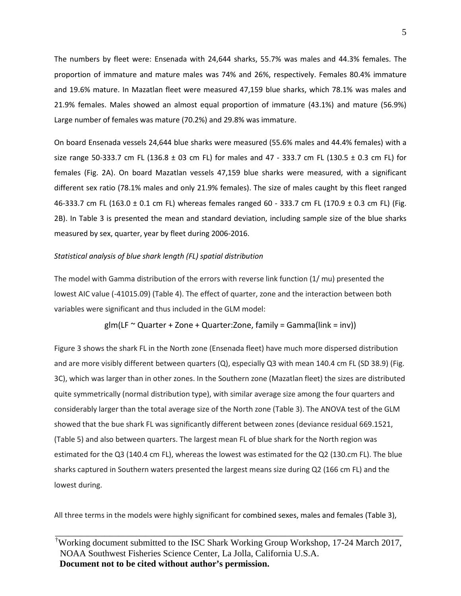The numbers by fleet were: Ensenada with 24,644 sharks, 55.7% was males and 44.3% females. The proportion of immature and mature males was 74% and 26%, respectively. Females 80.4% immature and 19.6% mature. In Mazatlan fleet were measured 47,159 blue sharks, which 78.1% was males and 21.9% females. Males showed an almost equal proportion of immature (43.1%) and mature (56.9%) Large number of females was mature (70.2%) and 29.8% was immature.

On board Ensenada vessels 24,644 blue sharks were measured (55.6% males and 44.4% females) with a size range 50-333.7 cm FL (136.8 ± 03 cm FL) for males and 47 - 333.7 cm FL (130.5 ± 0.3 cm FL) for females (Fig. 2A). On board Mazatlan vessels 47,159 blue sharks were measured, with a significant different sex ratio (78.1% males and only 21.9% females). The size of males caught by this fleet ranged 46-333.7 cm FL (163.0  $\pm$  0.1 cm FL) whereas females ranged 60 - 333.7 cm FL (170.9  $\pm$  0.3 cm FL) (Fig. 2B). In Table 3 is presented the mean and standard deviation, including sample size of the blue sharks measured by sex, quarter, year by fleet during 2006-2016.

#### *Statistical analysis of blue shark length (FL) spatial distribution*

The model with Gamma distribution of the errors with reverse link function (1/ mu) presented the lowest AIC value (-41015.09) (Table 4). The effect of quarter, zone and the interaction between both variables were significant and thus included in the GLM model:

$$
g\vert m(\text{LF} \approx \text{Quarter} + \text{Zone} + \text{Quarter:} \text{Zone}, \text{family} = \text{Gamma}(\text{link} = \text{inv}))
$$

Figure 3 shows the shark FL in the North zone (Ensenada fleet) have much more dispersed distribution and are more visibly different between quarters (Q), especially Q3 with mean 140.4 cm FL (SD 38.9) (Fig. 3C), which was larger than in other zones. In the Southern zone (Mazatlan fleet) the sizes are distributed quite symmetrically (normal distribution type), with similar average size among the four quarters and considerably larger than the total average size of the North zone (Table 3). The ANOVA test of the GLM showed that the bue shark FL was significantly different between zones (deviance residual 669.1521, (Table 5) and also between quarters. The largest mean FL of blue shark for the North region was estimated for the Q3 (140.4 cm FL), whereas the lowest was estimated for the Q2 (130.cm FL). The blue sharks captured in Southern waters presented the largest means size during Q2 (166 cm FL) and the lowest during.

All three terms in the models were highly significant for combined sexes, males and females (Table 3),

<sup>†</sup> Working document submitted to the ISC Shark Working Group Workshop, 17-24 March 2017, NOAA Southwest Fisheries Science Center, La Jolla, California U.S.A. **Document not to be cited without author's permission.**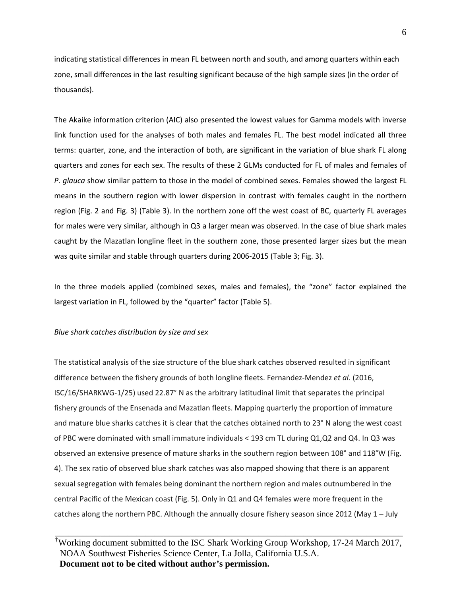indicating statistical differences in mean FL between north and south, and among quarters within each zone, small differences in the last resulting significant because of the high sample sizes (in the order of thousands).

The Akaike information criterion (AIC) also presented the lowest values for Gamma models with inverse link function used for the analyses of both males and females FL. The best model indicated all three terms: quarter, zone, and the interaction of both, are significant in the variation of blue shark FL along quarters and zones for each sex. The results of these 2 GLMs conducted for FL of males and females of *P. glauca* show similar pattern to those in the model of combined sexes. Females showed the largest FL means in the southern region with lower dispersion in contrast with females caught in the northern region (Fig. 2 and Fig. 3) (Table 3). In the northern zone off the west coast of BC, quarterly FL averages for males were very similar, although in Q3 a larger mean was observed. In the case of blue shark males caught by the Mazatlan longline fleet in the southern zone, those presented larger sizes but the mean was quite similar and stable through quarters during 2006-2015 (Table 3; Fig. 3).

In the three models applied (combined sexes, males and females), the "zone" factor explained the largest variation in FL, followed by the "quarter" factor (Table 5).

#### *Blue shark catches distribution by size and sex*

The statistical analysis of the size structure of the blue shark catches observed resulted in significant difference between the fishery grounds of both longline fleets. Fernandez-Mendez *et al.* (2016, ISC/16/SHARKWG-1/25) used 22.87° N as the arbitrary latitudinal limit that separates the principal fishery grounds of the Ensenada and Mazatlan fleets. Mapping quarterly the proportion of immature and mature blue sharks catches it is clear that the catches obtained north to 23° N along the west coast of PBC were dominated with small immature individuals < 193 cm TL during Q1,Q2 and Q4. In Q3 was observed an extensive presence of mature sharks in the southern region between 108° and 118°W (Fig. 4). The sex ratio of observed blue shark catches was also mapped showing that there is an apparent sexual segregation with females being dominant the northern region and males outnumbered in the central Pacific of the Mexican coast (Fig. 5). Only in Q1 and Q4 females were more frequent in the catches along the northern PBC. Although the annually closure fishery season since 2012 (May 1 – July

† Working document submitted to the ISC Shark Working Group Workshop, 17-24 March 2017, NOAA Southwest Fisheries Science Center, La Jolla, California U.S.A. **Document not to be cited without author's permission.**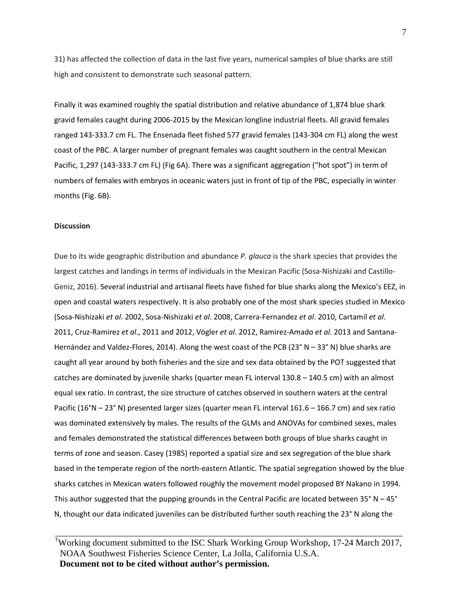31) has affected the collection of data in the last five years, numerical samples of blue sharks are still high and consistent to demonstrate such seasonal pattern.

Finally it was examined roughly the spatial distribution and relative abundance of 1,874 blue shark gravid females caught during 2006-2015 by the Mexican longline industrial fleets. All gravid females ranged 143-333.7 cm FL. The Ensenada fleet fished 577 gravid females (143-304 cm FL) along the west coast of the PBC. A larger number of pregnant females was caught southern in the central Mexican Pacific, 1,297 (143-333.7 cm FL) (Fig 6A). There was a significant aggregation ("hot spot") in term of numbers of females with embryos in oceanic waters just in front of tip of the PBC, especially in winter months (Fig. 6B).

#### **Discussion**

Due to its wide geographic distribution and abundance *P. glauca* is the shark species that provides the largest catches and landings in terms of individuals in the Mexican Pacific (Sosa-Nishizaki and Castillo-Geniz, 2016). Several industrial and artisanal fleets have fished for blue sharks along the Mexico's EEZ, in open and coastal waters respectively. It is also probably one of the most shark species studied in Mexico (Sosa-Nishizaki *et al*. 2002, Sosa-Nishizaki *et al*. 2008, Carrera-Fernandez *et al*. 2010, Cartamil *et al*. 2011, Cruz-Ramirez *et al*., 2011 and 2012, Vögler *et al*. 2012, Ramirez-Amado *et al*. 2013 and Santana-Hernández and Valdez-Flores, 2014). Along the west coast of the PCB (23° N – 33° N) blue sharks are caught all year around by both fisheries and the size and sex data obtained by the POT suggested that catches are dominated by juvenile sharks (quarter mean FL interval 130.8 – 140.5 cm) with an almost equal sex ratio. In contrast, the size structure of catches observed in southern waters at the central Pacific (16°N – 23° N) presented larger sizes (quarter mean FL interval 161.6 – 166.7 cm) and sex ratio was dominated extensively by males. The results of the GLMs and ANOVAs for combined sexes, males and females demonstrated the statistical differences between both groups of blue sharks caught in terms of zone and season. Casey (1985) reported a spatial size and sex segregation of the blue shark based in the temperate region of the north-eastern Atlantic. The spatial segregation showed by the blue sharks catches in Mexican waters followed roughly the movement model proposed BY Nakano in 1994. This author suggested that the pupping grounds in the Central Pacific are located between 35° N – 45° N, thought our data indicated juveniles can be distributed further south reaching the 23° N along the

† Working document submitted to the ISC Shark Working Group Workshop, 17-24 March 2017, NOAA Southwest Fisheries Science Center, La Jolla, California U.S.A. **Document not to be cited without author's permission.**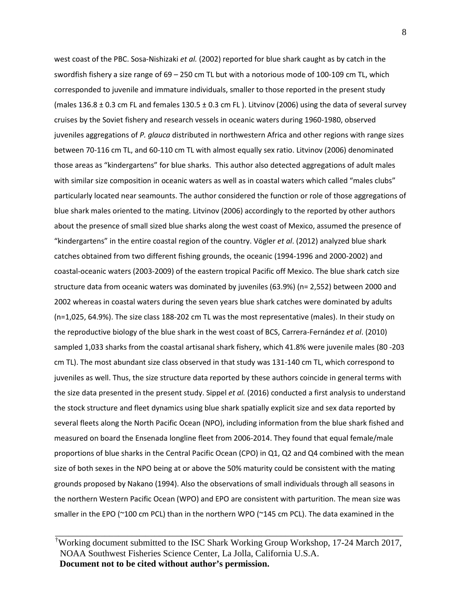west coast of the PBC. Sosa-Nishizaki *et al.* (2002) reported for blue shark caught as by catch in the swordfish fishery a size range of 69 – 250 cm TL but with a notorious mode of 100-109 cm TL, which corresponded to juvenile and immature individuals, smaller to those reported in the present study (males 136.8  $\pm$  0.3 cm FL and females 130.5  $\pm$  0.3 cm FL). Litvinov (2006) using the data of several survey cruises by the Soviet fishery and research vessels in oceanic waters during 1960-1980, observed juveniles aggregations of *P. glauca* distributed in northwestern Africa and other regions with range sizes between 70-116 cm TL, and 60-110 cm TL with almost equally sex ratio. Litvinov (2006) denominated those areas as "kindergartens" for blue sharks. This author also detected aggregations of adult males with similar size composition in oceanic waters as well as in coastal waters which called "males clubs" particularly located near seamounts. The author considered the function or role of those aggregations of blue shark males oriented to the mating. Litvinov (2006) accordingly to the reported by other authors about the presence of small sized blue sharks along the west coast of Mexico, assumed the presence of "kindergartens" in the entire coastal region of the country. Vögler *et al*. (2012) analyzed blue shark catches obtained from two different fishing grounds, the oceanic (1994-1996 and 2000-2002) and coastal-oceanic waters (2003-2009) of the eastern tropical Pacific off Mexico. The blue shark catch size structure data from oceanic waters was dominated by juveniles (63.9%) (n= 2,552) between 2000 and 2002 whereas in coastal waters during the seven years blue shark catches were dominated by adults (n=1,025, 64.9%). The size class 188-202 cm TL was the most representative (males). In their study on the reproductive biology of the blue shark in the west coast of BCS, Carrera-Fernández *et al*. (2010) sampled 1,033 sharks from the coastal artisanal shark fishery, which 41.8% were juvenile males (80 -203 cm TL). The most abundant size class observed in that study was 131-140 cm TL, which correspond to juveniles as well. Thus, the size structure data reported by these authors coincide in general terms with the size data presented in the present study. Sippel *et al.* (2016) conducted a first analysis to understand the stock structure and fleet dynamics using blue shark spatially explicit size and sex data reported by several fleets along the North Pacific Ocean (NPO), including information from the blue shark fished and measured on board the Ensenada longline fleet from 2006-2014. They found that equal female/male proportions of blue sharks in the Central Pacific Ocean (CPO) in Q1, Q2 and Q4 combined with the mean size of both sexes in the NPO being at or above the 50% maturity could be consistent with the mating grounds proposed by Nakano (1994). Also the observations of small individuals through all seasons in the northern Western Pacific Ocean (WPO) and EPO are consistent with parturition. The mean size was smaller in the EPO (~100 cm PCL) than in the northern WPO (~145 cm PCL). The data examined in the

† Working document submitted to the ISC Shark Working Group Workshop, 17-24 March 2017, NOAA Southwest Fisheries Science Center, La Jolla, California U.S.A. **Document not to be cited without author's permission.**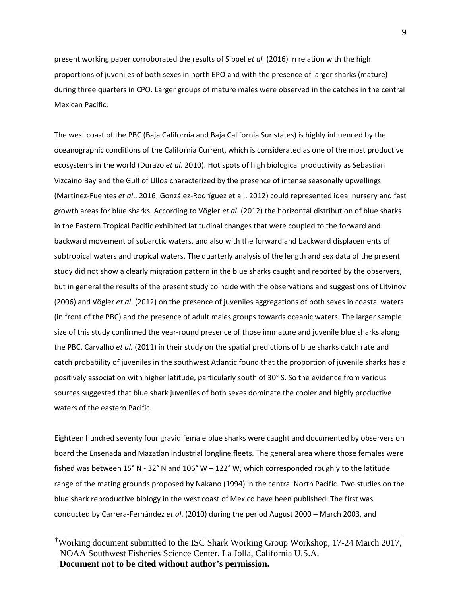present working paper corroborated the results of Sippel *et al.* (2016) in relation with the high proportions of juveniles of both sexes in north EPO and with the presence of larger sharks (mature) during three quarters in CPO. Larger groups of mature males were observed in the catches in the central Mexican Pacific.

The west coast of the PBC (Baja California and Baja California Sur states) is highly influenced by the oceanographic conditions of the California Current, which is considerated as one of the most productive ecosystems in the world (Durazo *et al*. 2010). Hot spots of high biological productivity as Sebastian Vizcaino Bay and the Gulf of Ulloa characterized by the presence of intense seasonally upwellings (Martinez-Fuentes *et al*., 2016; González-Rodríguez et al., 2012) could represented ideal nursery and fast growth areas for blue sharks. According to Vögler *et al*. (2012) the horizontal distribution of blue sharks in the Eastern Tropical Pacific exhibited latitudinal changes that were coupled to the forward and backward movement of subarctic waters, and also with the forward and backward displacements of subtropical waters and tropical waters. The quarterly analysis of the length and sex data of the present study did not show a clearly migration pattern in the blue sharks caught and reported by the observers, but in general the results of the present study coincide with the observations and suggestions of Litvinov (2006) and Vögler *et al*. (2012) on the presence of juveniles aggregations of both sexes in coastal waters (in front of the PBC) and the presence of adult males groups towards oceanic waters. The larger sample size of this study confirmed the year-round presence of those immature and juvenile blue sharks along the PBC. Carvalho *et al.* (2011) in their study on the spatial predictions of blue sharks catch rate and catch probability of juveniles in the southwest Atlantic found that the proportion of juvenile sharks has a positively association with higher latitude, particularly south of 30° S. So the evidence from various sources suggested that blue shark juveniles of both sexes dominate the cooler and highly productive waters of the eastern Pacific.

Eighteen hundred seventy four gravid female blue sharks were caught and documented by observers on board the Ensenada and Mazatlan industrial longline fleets. The general area where those females were fished was between 15° N - 32° N and 106° W – 122° W, which corresponded roughly to the latitude range of the mating grounds proposed by Nakano (1994) in the central North Pacific. Two studies on the blue shark reproductive biology in the west coast of Mexico have been published. The first was conducted by Carrera-Fernández *et al*. (2010) during the period August 2000 – March 2003, and

<sup>†</sup> Working document submitted to the ISC Shark Working Group Workshop, 17-24 March 2017, NOAA Southwest Fisheries Science Center, La Jolla, California U.S.A. **Document not to be cited without author's permission.**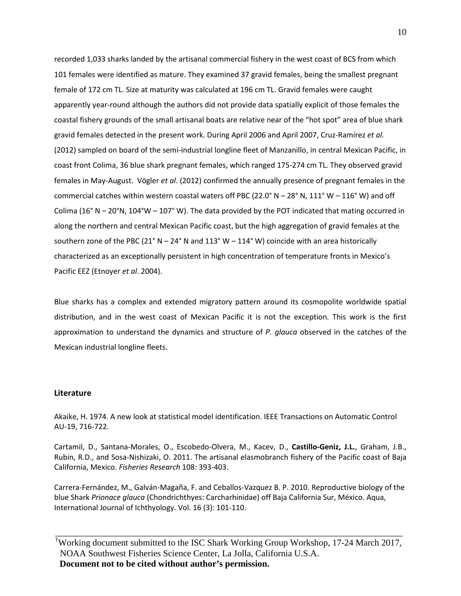recorded 1,033 sharks landed by the artisanal commercial fishery in the west coast of BCS from which 101 females were identified as mature. They examined 37 gravid females, being the smallest pregnant female of 172 cm TL. Size at maturity was calculated at 196 cm TL. Gravid females were caught apparently year-round although the authors did not provide data spatially explicit of those females the coastal fishery grounds of the small artisanal boats are relative near of the "hot spot" area of blue shark gravid females detected in the present work. During April 2006 and April 2007, Cruz-Ramírez *et al.*  (2012) sampled on board of the semi-industrial longline fleet of Manzanillo, in central Mexican Pacific, in coast front Colima, 36 blue shark pregnant females, which ranged 175-274 cm TL. They observed gravid females in May-August. Vögler *et al*. (2012) confirmed the annually presence of pregnant females in the commercial catches within western coastal waters off PBC (22.0° N – 28° N, 111° W – 116° W) and off Colima (16° N – 20°N, 104°W – 107° W). The data provided by the POT indicated that mating occurred in along the northern and central Mexican Pacific coast, but the high aggregation of gravid females at the southern zone of the PBC (21° N – 24° N and 113° W – 114° W) coincide with an area historically characterized as an exceptionally persistent in high concentration of temperature fronts in Mexico's Pacific EEZ (Etnoyer *et al*. 2004).

Blue sharks has a complex and extended migratory pattern around its cosmopolite worldwide spatial distribution, and in the west coast of Mexican Pacific it is not the exception. This work is the first approximation to understand the dynamics and structure of *P. glauca* observed in the catches of the Mexican industrial longline fleets.

#### **Literature**

Akaike, H. 1974. A new look at statistical model identification. IEEE Transactions on Automatic Control AU-19, 716-722.

Cartamil, D., Santana-Morales, O., Escobedo-Olvera, M., Kacev, D., **Castillo-Geniz, J.L.**, Graham, J.B., Rubin, R.D., and Sosa-Nishizaki, O. 2011. The artisanal elasmobranch fishery of the Pacific coast of Baja California, Mexico. *Fisheries Research* 108: 393-403.

Carrera-Fernández, M., Galván-Magaña, F. and Ceballos-Vazquez B. P. 2010. Reproductive biology of the blue Shark *Prionace glauca* (Chondrichthyes: Carcharhinidae) off Baja California Sur, México. Aqua, International Journal of Ichthyology. Vol. 16 (3): 101-110.

† Working document submitted to the ISC Shark Working Group Workshop, 17-24 March 2017, NOAA Southwest Fisheries Science Center, La Jolla, California U.S.A. **Document not to be cited without author's permission.**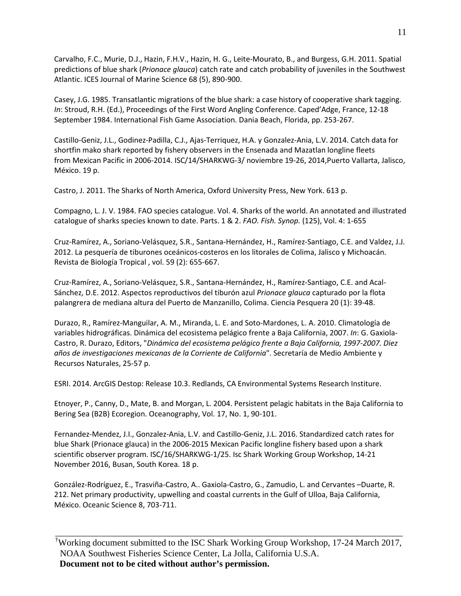Carvalho, F.C., Murie, D.J., Hazin, F.H.V., Hazin, H. G., Leite-Mourato, B., and Burgess, G.H. 2011. Spatial predictions of blue shark (*Prionace glauca*) catch rate and catch probability of juveniles in the Southwest Atlantic. ICES Journal of Marine Science 68 (5), 890-900.

Casey, J.G. 1985. Transatlantic migrations of the blue shark: a case history of cooperative shark tagging. *In*: Stroud, R.H. (Ed.), Proceedings of the First Word Angling Conference. Caped'Adge, France, 12-18 September 1984. International Fish Game Association. Dania Beach, Florida, pp. 253-267.

Castillo-Geniz, J.L., Godinez-Padilla, C.J., Ajas-Terriquez, H.A. y Gonzalez-Ania, L.V. 2014. Catch data for shortfin mako shark reported by fishery observers in the Ensenada and Mazatlan longline fleets from Mexican Pacific in 2006-2014. ISC/14/SHARKWG-3/ noviembre 19-26, 2014,Puerto Vallarta, Jalisco, México. 19 p.

Castro, J. 2011. The Sharks of North America, Oxford University Press, New York. 613 p.

Compagno, L. J. V. 1984. FAO species catalogue. Vol. 4. Sharks of the world. An annotated and illustrated catalogue of sharks species known to date. Parts. 1 & 2. *FAO. Fish. Synop.* (125), Vol. 4: 1-655

Cruz-Ramírez, A., Soriano-Velásquez, S.R., Santana-Hernández, H., Ramírez-Santiago, C.E. and Valdez, J.J. 2012. La pesquería de tiburones oceánicos-costeros en los litorales de Colima, Jalisco y Michoacán. Revista de Biología Tropical , vol. 59 (2): 655-667.

Cruz-Ramírez, A., Soriano-Velásquez, S.R., Santana-Hernández, H., Ramírez-Santiago, C.E. and Acal-Sánchez, D.E. 2012. Aspectos reproductivos del tiburón azul *Prionace glauca* capturado por la flota palangrera de mediana altura del Puerto de Manzanillo, Colima. Ciencia Pesquera 20 (1): 39-48.

Durazo, R., Ramírez-Manguilar, A. M., Miranda, L. E. and Soto-Mardones, L. A. 2010. Climatología de variables hidrográficas. Dinámica del ecosistema pelágico frente a Baja California, 2007. *In*: G. Gaxiola-Castro, R. Durazo, Editors, "*Dinámica del ecosistema pelágico frente a Baja California, 1997-2007. Diez años de investigaciones mexicanas de la Corriente de California*". Secretaría de Medio Ambiente y Recursos Naturales, 25-57 p.

ESRI. 2014. ArcGIS Destop: Release 10.3. Redlands, CA Environmental Systems Research Institure.

Etnoyer, P., Canny, D., Mate, B. and Morgan, L. 2004. Persistent pelagic habitats in the Baja California to Bering Sea (B2B) Ecoregion. Oceanography, Vol. 17, No. 1, 90-101.

Fernandez-Mendez, J.I., Gonzalez-Ania, L.V. and Castillo-Geniz, J.L. 2016. Standardized catch rates for blue Shark (Prionace glauca) in the 2006-2015 Mexican Pacific longline fishery based upon a shark scientific observer program. ISC/16/SHARKWG-1/25. Isc Shark Working Group Workshop, 14-21 November 2016, Busan, South Korea. 18 p.

González-Rodríguez, E., Trasviña-Castro, A.. Gaxiola-Castro, G., Zamudio, L. and Cervantes –Duarte, R. 212. Net primary productivity, upwelling and coastal currents in the Gulf of Ulloa, Baja California, México. Oceanic Science 8, 703-711.

\_\_\_\_\_\_\_\_\_\_\_\_\_\_\_\_\_\_\_\_\_\_\_\_\_\_\_\_\_\_\_\_\_\_\_\_\_\_\_\_\_\_\_\_\_\_\_\_\_\_\_\_\_\_\_\_\_\_\_\_\_\_\_\_\_\_\_\_\_\_\_\_\_\_\_\_\_ † Working document submitted to the ISC Shark Working Group Workshop, 17-24 March 2017, NOAA Southwest Fisheries Science Center, La Jolla, California U.S.A. **Document not to be cited without author's permission.**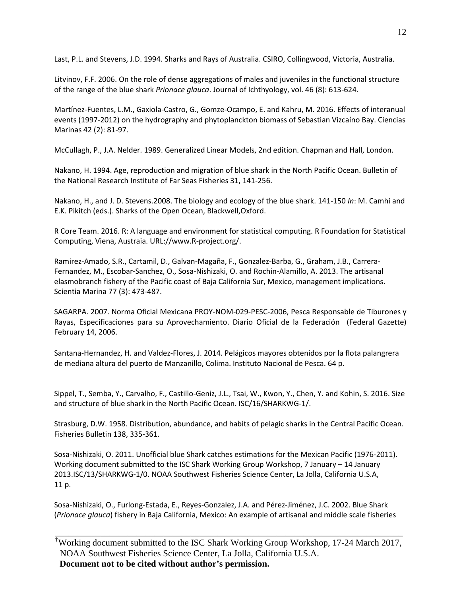Last, P.L. and Stevens, J.D. 1994. Sharks and Rays of Australia. CSIRO, Collingwood, Victoria, Australia.

Litvinov, F.F. 2006. On the role of dense aggregations of males and juveniles in the functional structure of the range of the blue shark *Prionace glauca*. Journal of Ichthyology, vol. 46 (8): 613-624.

Martínez-Fuentes, L.M., Gaxiola-Castro, G., Gomze-Ocampo, E. and Kahru, M. 2016. Effects of interanual events (1997-2012) on the hydrography and phytoplanckton biomass of Sebastian Vizcaíno Bay. Ciencias Marinas 42 (2): 81-97.

McCullagh, P., J.A. Nelder. 1989. Generalized Linear Models, 2nd edition. Chapman and Hall, London.

Nakano, H. 1994. Age, reproduction and migration of blue shark in the North Pacific Ocean. Bulletin of the National Research Institute of Far Seas Fisheries 31, 141-256.

Nakano, H., and J. D. Stevens.2008. The biology and ecology of the blue shark. 141-150 *In*: M. Camhi and E.K. Pikitch (eds.). Sharks of the Open Ocean, Blackwell,Oxford.

R Core Team. 2016. R: A language and environment for statistical computing. R Foundation for Statistical Computing, Viena, Austraia. URL://www.R-project.org/.

Ramirez-Amado, S.R., Cartamil, D., Galvan-Magaña, F., Gonzalez-Barba, G., Graham, J.B., Carrera-Fernandez, M., Escobar-Sanchez, O., Sosa-Nishizaki, O. and Rochin-Alamillo, A. 2013. The artisanal elasmobranch fishery of the Pacific coast of Baja California Sur, Mexico, management implications. Scientia Marina 77 (3): 473-487.

SAGARPA. 2007. Norma Oficial Mexicana PROY-NOM-029-PESC-2006, Pesca Responsable de Tiburones y Rayas, Especificaciones para su Aprovechamiento. Diario Oficial de la Federación (Federal Gazette) February 14, 2006.

Santana-Hernandez, H. and Valdez-Flores, J. 2014. Pelágicos mayores obtenidos por la flota palangrera de mediana altura del puerto de Manzanillo, Colima. Instituto Nacional de Pesca. 64 p.

Sippel, T., Semba, Y., Carvalho, F., Castillo-Geniz, J.L., Tsai, W., Kwon, Y., Chen, Y. and Kohin, S. 2016. Size and structure of blue shark in the North Pacific Ocean. ISC/16/SHARKWG-1/.

Strasburg, D.W. 1958. Distribution, abundance, and habits of pelagic sharks in the Central Pacific Ocean. Fisheries Bulletin 138, 335-361.

Sosa-Nishizaki, O. 2011. Unofficial blue Shark catches estimations for the Mexican Pacific (1976-2011). Working document submitted to the ISC Shark Working Group Workshop, 7 January – 14 January 2013.ISC/13/SHARKWG-1/0. NOAA Southwest Fisheries Science Center, La Jolla, California U.S.A, 11 p.

Sosa-Nishizaki, O., Furlong-Estada, E., Reyes-Gonzalez, J.A. and Pérez-Jiménez, J.C. 2002. Blue Shark (*Prionace glauca*) fishery in Baja California, Mexico: An example of artisanal and middle scale fisheries

\_\_\_\_\_\_\_\_\_\_\_\_\_\_\_\_\_\_\_\_\_\_\_\_\_\_\_\_\_\_\_\_\_\_\_\_\_\_\_\_\_\_\_\_\_\_\_\_\_\_\_\_\_\_\_\_\_\_\_\_\_\_\_\_\_\_\_\_\_\_\_\_\_\_\_\_\_ † Working document submitted to the ISC Shark Working Group Workshop, 17-24 March 2017, NOAA Southwest Fisheries Science Center, La Jolla, California U.S.A. **Document not to be cited without author's permission.**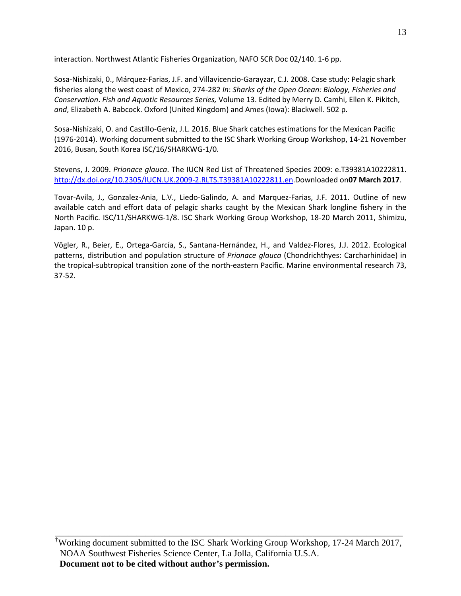interaction. Northwest Atlantic Fisheries Organization, NAFO SCR Doc 02/140. 1-6 pp.

Sosa-Nishizaki, 0., Márquez-Farias, J.F. and Villavicencio-Garayzar, C.J. 2008. Case study: Pelagic shark fisheries along the west coast of Mexico, 274-282 *In*: *Sharks of the Open Ocean: Biology, Fisheries and Conservation*. *Fish and Aquatic Resources Series,* Volume 13. Edited by Merry D. Camhi, Ellen K. Pikitch, *and*, Elizabeth A. Babcock. Oxford (United Kingdom) and Ames (Iowa): Blackwell. 502 p.

Sosa-Nishizaki, O. and Castillo-Geniz, J.L. 2016. Blue Shark catches estimations for the Mexican Pacific (1976-2014). Working document submitted to the ISC Shark Working Group Workshop, 14-21 November 2016, Busan, South Korea ISC/16/SHARKWG-1/0.

Stevens, J. 2009. *Prionace glauca*. The IUCN Red List of Threatened Species 2009: e.T39381A10222811. [http://dx.doi.org/10.2305/IUCN.UK.2009-2.RLTS.T39381A10222811.en.](http://dx.doi.org/10.2305/IUCN.UK.2009-2.RLTS.T39381A10222811.en)Downloaded on**07 March 2017**.

Tovar-Avila, J., Gonzalez-Ania, L.V., Liedo-Galindo, A. and Marquez-Farias, J.F. 2011. Outline of new available catch and effort data of pelagic sharks caught by the Mexican Shark longline fishery in the North Pacific. ISC/11/SHARKWG-1/8. ISC Shark Working Group Workshop, 18-20 March 2011, Shimizu, Japan. 10 p.

Vögler, R., Beier, E., Ortega-García, S., Santana-Hernández, H., and Valdez-Flores, J.J. 2012. Ecological patterns, distribution and population structure of *Prionace glauca* (Chondrichthyes: Carcharhinidae) in the tropical-subtropical transition zone of the north-eastern Pacific. Marine environmental research 73, 37-52.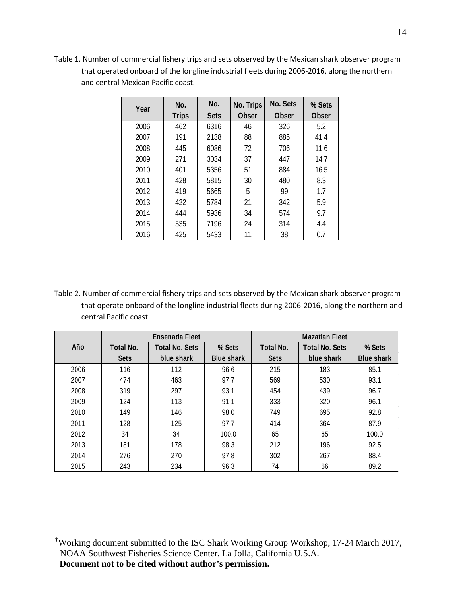Table 1. Number of commercial fishery trips and sets observed by the Mexican shark observer program that operated onboard of the longline industrial fleets during 2006-2016, along the northern and central Mexican Pacific coast.

| Year | No.          | No.         | No. Trips    | No. Sets     | % Sets       |
|------|--------------|-------------|--------------|--------------|--------------|
|      | <b>Trips</b> | <b>Sets</b> | <b>Obser</b> | <b>Obser</b> | <b>Obser</b> |
| 2006 | 462          | 6316        | 46           | 326          | 5.2          |
| 2007 | 191          | 2138        | 88           | 885          | 41.4         |
| 2008 | 445          | 6086        | 72           | 706          | 11.6         |
| 2009 | 271          | 3034        | 37           | 447          | 14.7         |
| 2010 | 401          | 5356        | 51           | 884          | 16.5         |
| 2011 | 428          | 5815        | 30           | 480          | 8.3          |
| 2012 | 419          | 5665        | 5            | 99           | 1.7          |
| 2013 | 422          | 5784        | 21           | 342          | 5.9          |
| 2014 | 444          | 5936        | 34           | 574          | 9.7          |
| 2015 | 535          | 7196        | 24           | 314          | 4.4          |
| 2016 | 425          | 5433        | 11           | 38           | 0.7          |

Table 2. Number of commercial fishery trips and sets observed by the Mexican shark observer program that operate onboard of the longline industrial fleets during 2006-2016, along the northern and central Pacific coast.

|      |                                           | Ensenada Fleet |                   | <b>Mazatlan Fleet</b> |                       |                   |  |
|------|-------------------------------------------|----------------|-------------------|-----------------------|-----------------------|-------------------|--|
| Año  | <b>Total No.</b><br><b>Total No. Sets</b> |                | % Sets            | Total No.             | <b>Total No. Sets</b> | % Sets            |  |
|      | <b>Sets</b>                               | blue shark     | <b>Blue shark</b> | <b>Sets</b>           | blue shark            | <b>Blue shark</b> |  |
| 2006 | 116                                       | 112            | 96.6              | 215                   | 183                   | 85.1              |  |
| 2007 | 474                                       | 463            | 97.7              | 569                   | 530                   | 93.1              |  |
| 2008 | 319                                       | 297            | 93.1              | 454                   | 439                   | 96.7              |  |
| 2009 | 124                                       | 113            | 91.1              | 333                   | 320                   | 96.1              |  |
| 2010 | 149                                       | 146            | 98.0              | 749                   | 695                   | 92.8              |  |
| 2011 | 128                                       | 125            | 97.7              | 414                   | 364                   | 87.9              |  |
| 2012 | 34                                        | 34             | 100.0             | 65                    | 65                    | 100.0             |  |
| 2013 | 181                                       | 178            | 98.3              | 212                   | 196                   | 92.5              |  |
| 2014 | 276                                       | 270            | 97.8              | 302                   | 267                   | 88.4              |  |
| 2015 | 243                                       | 234            | 96.3              | 74                    | 66                    | 89.2              |  |

† Working document submitted to the ISC Shark Working Group Workshop, 17-24 March 2017, NOAA Southwest Fisheries Science Center, La Jolla, California U.S.A. **Document not to be cited without author's permission.**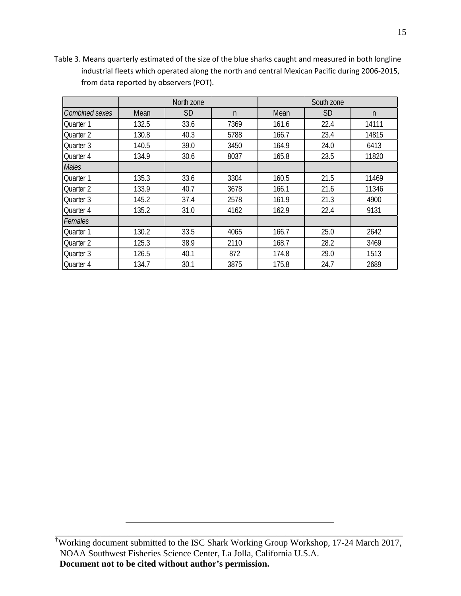|                |       | North zone |              | South zone |           |              |  |
|----------------|-------|------------|--------------|------------|-----------|--------------|--|
| Combined sexes | Mean  | <b>SD</b>  | $\mathsf{n}$ | Mean       | <b>SD</b> | $\mathsf{n}$ |  |
| Quarter 1      | 132.5 | 33.6       | 7369         | 161.6      | 22.4      | 14111        |  |
| Quarter 2      | 130.8 | 40.3       | 5788         | 166.7      | 23.4      | 14815        |  |
| Quarter 3      | 140.5 | 39.0       | 3450         | 164.9      | 24.0      | 6413         |  |
| Ouarter 4      | 134.9 | 30.6       | 8037         | 165.8      | 23.5      | 11820        |  |
| <b>Males</b>   |       |            |              |            |           |              |  |
| Quarter 1      | 135.3 | 33.6       | 3304         | 160.5      | 21.5      | 11469        |  |
| Quarter 2      | 133.9 | 40.7       | 3678         | 166.1      | 21.6      | 11346        |  |
| Quarter 3      | 145.2 | 37.4       | 2578         | 161.9      | 21.3      | 4900         |  |
| Quarter 4      | 135.2 | 31.0       | 4162         | 162.9      | 22.4      | 9131         |  |
| Females        |       |            |              |            |           |              |  |
| Quarter 1      | 130.2 | 33.5       | 4065         | 166.7      | 25.0      | 2642         |  |
| Ouarter 2      | 125.3 | 38.9       | 2110         | 168.7      | 28.2      | 3469         |  |
| Quarter 3      | 126.5 | 40.1       | 872          | 174.8      | 29.0      | 1513         |  |
| Quarter 4      | 134.7 | 30.1       | 3875         | 175.8      | 24.7      | 2689         |  |

Table 3. Means quarterly estimated of the size of the blue sharks caught and measured in both longline industrial fleets which operated along the north and central Mexican Pacific during 2006-2015, from data reported by observers (POT).

<sup>†</sup>Working document submitted to the ISC Shark Working Group Workshop, 17-24 March 2017, NOAA Southwest Fisheries Science Center, La Jolla, California U.S.A. **Document not to be cited without author's permission.**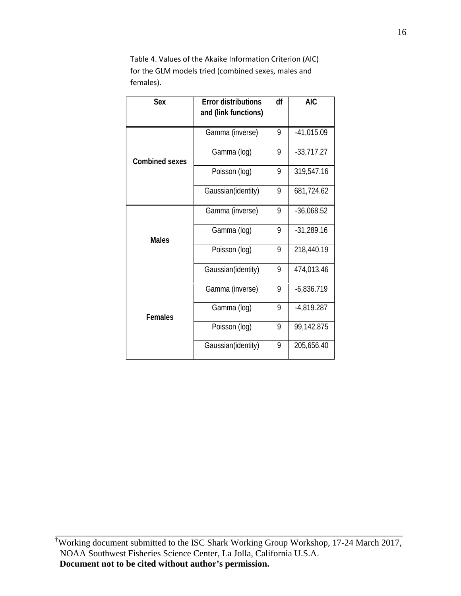Table 4. Values of the Akaike Information Criterion (AIC) for the GLM models tried (combined sexes, males and females).

| Sex                   | <b>Error distributions</b><br>and (link functions) | df | <b>AIC</b>   |
|-----------------------|----------------------------------------------------|----|--------------|
|                       | Gamma (inverse)                                    |    | $-41,015.09$ |
| <b>Combined sexes</b> | Gamma (log)                                        | 9  | $-33,717.27$ |
|                       | Poisson (log)                                      | 9  | 319,547.16   |
|                       | Gaussian(identity)                                 | 9  | 681,724.62   |
|                       | Gamma (inverse)                                    | 9  | $-36,068.52$ |
| <b>Males</b>          | Gamma (log)                                        | 9  | $-31,289.16$ |
|                       | Poisson (log)                                      | 9  | 218,440.19   |
|                       | Gaussian(identity)                                 | 9  | 474,013.46   |
|                       | Gamma (inverse)                                    | 9  | $-6,836.719$ |
| <b>Females</b>        | Gamma (log)                                        | 9  | $-4,819.287$ |
|                       | Poisson (log)                                      | 9  | 99,142.875   |
|                       | Gaussian(identity)                                 | 9  | 205,656.40   |

<sup>†</sup>Working document submitted to the ISC Shark Working Group Workshop, 17-24 March 2017, NOAA Southwest Fisheries Science Center, La Jolla, California U.S.A. **Document not to be cited without author's permission.**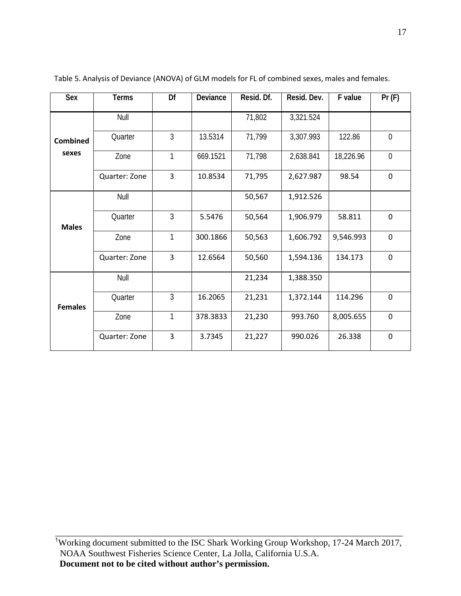| Sex               | <b>Terms</b>  | Df             | Deviance | Resid. Df. | Resid. Dev. | F value   | Pr(F)          |
|-------------------|---------------|----------------|----------|------------|-------------|-----------|----------------|
| Combined<br>sexes | Null          |                |          | 71,802     | 3,321.524   |           |                |
|                   | Quarter       | $\mathfrak{Z}$ | 13.5314  | 71,799     | 3,307.993   | 122.86    | $\overline{0}$ |
|                   | Zone          | 1              | 669.1521 | 71,798     | 2,638.841   | 18,226.96 | $\overline{0}$ |
|                   | Quarter: Zone | 3              | 10.8534  | 71,795     | 2,627.987   | 98.54     | $\mathbf 0$    |
|                   | Null          |                |          | 50,567     | 1,912.526   |           |                |
| <b>Males</b>      | Quarter       | $\mathfrak{Z}$ | 5.5476   | 50,564     | 1,906.979   | 58.811    | $\mathbf 0$    |
|                   | Zone          | 1              | 300.1866 | 50,563     | 1,606.792   | 9,546.993 | $\mathbf 0$    |
|                   | Quarter: Zone | 3              | 12.6564  | 50,560     | 1,594.136   | 134.173   | $\mathbf 0$    |
| <b>Females</b>    | Null          |                |          | 21,234     | 1,388.350   |           |                |
|                   | Quarter       | $\mathfrak{Z}$ | 16.2065  | 21,231     | 1,372.144   | 114.296   | $\mathbf 0$    |
|                   | Zone          | 1              | 378.3833 | 21,230     | 993.760     | 8,005.655 | $\mathbf 0$    |
|                   | Quarter: Zone | 3              | 3.7345   | 21,227     | 990.026     | 26.338    | $\mathbf 0$    |

Table 5. Analysis of Deviance (ANOVA) of GLM models for FL of combined sexes, males and females.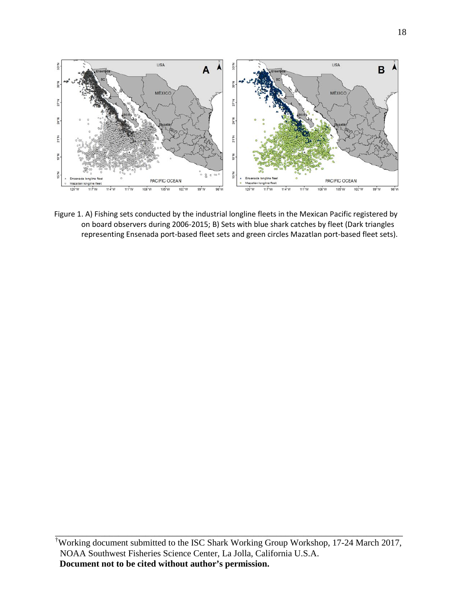

Figure 1. A) Fishing sets conducted by the industrial longline fleets in the Mexican Pacific registered by on board observers during 2006-2015; B) Sets with blue shark catches by fleet (Dark triangles representing Ensenada port-based fleet sets and green circles Mazatlan port-based fleet sets).

<sup>†</sup> Working document submitted to the ISC Shark Working Group Workshop, 17-24 March 2017, NOAA Southwest Fisheries Science Center, La Jolla, California U.S.A. **Document not to be cited without author's permission.**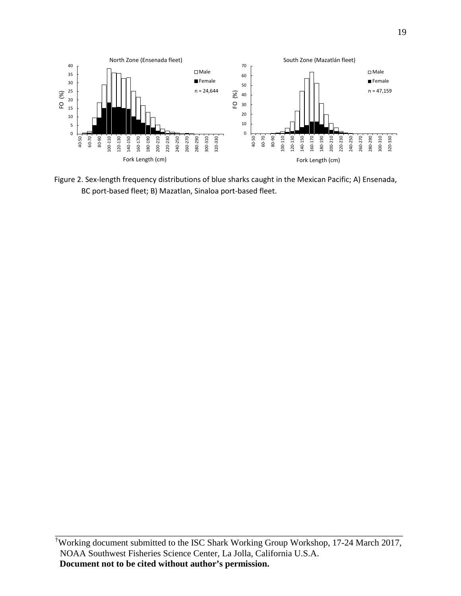

Figure 2. Sex-length frequency distributions of blue sharks caught in the Mexican Pacific; A) Ensenada, BC port-based fleet; B) Mazatlan, Sinaloa port-based fleet.

<sup>†</sup> Working document submitted to the ISC Shark Working Group Workshop, 17-24 March 2017, NOAA Southwest Fisheries Science Center, La Jolla, California U.S.A. **Document not to be cited without author's permission.**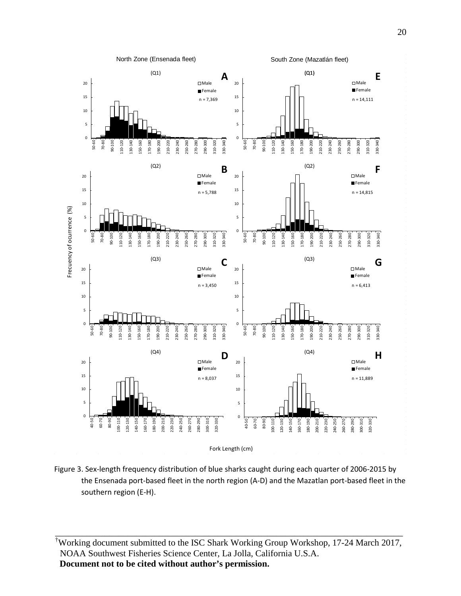

Figure 3. Sex-length frequency distribution of blue sharks caught during each quarter of 2006-2015 by the Ensenada port-based fleet in the north region (A-D) and the Mazatlan port-based fleet in the southern region (E-H).

† Working document submitted to the ISC Shark Working Group Workshop, 17-24 March 2017, NOAA Southwest Fisheries Science Center, La Jolla, California U.S.A. **Document not to be cited without author's permission.**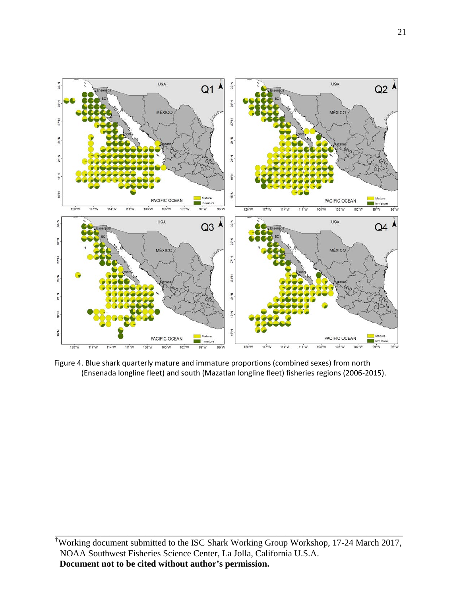

Figure 4. Blue shark quarterly mature and immature proportions (combined sexes) from north (Ensenada longline fleet) and south (Mazatlan longline fleet) fisheries regions (2006-2015).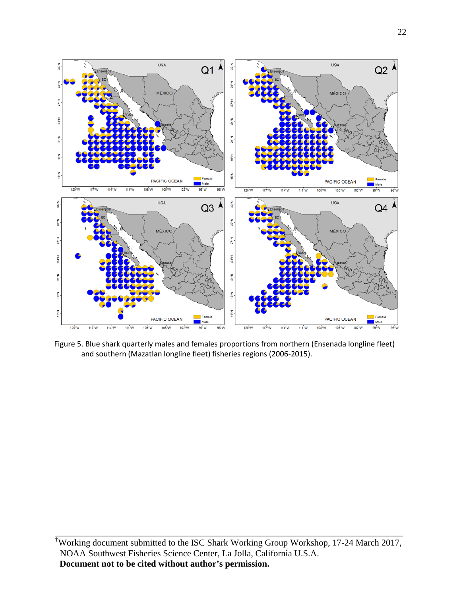

Figure 5. Blue shark quarterly males and females proportions from northern (Ensenada longline fleet) and southern (Mazatlan longline fleet) fisheries regions (2006-2015).